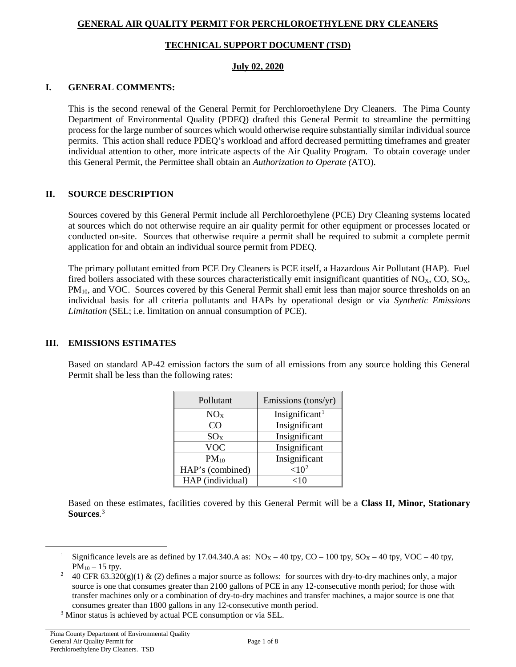# **GENERAL AIR QUALITY PERMIT FOR PERCHLOROETHYLENE DRY CLEANERS**

### **TECHNICAL SUPPORT DOCUMENT (TSD)**

#### **July 02, 2020**

### **I. GENERAL COMMENTS:**

This is the second renewal of the General Permit for Perchloroethylene Dry Cleaners. The Pima County Department of Environmental Quality (PDEQ) drafted this General Permit to streamline the permitting process for the large number of sources which would otherwise require substantially similar individual source permits. This action shall reduce PDEQ's workload and afford decreased permitting timeframes and greater individual attention to other, more intricate aspects of the Air Quality Program. To obtain coverage under this General Permit, the Permittee shall obtain an *Authorization to Operate (*ATO).

# **II. SOURCE DESCRIPTION**

Sources covered by this General Permit include all Perchloroethylene (PCE) Dry Cleaning systems located at sources which do not otherwise require an air quality permit for other equipment or processes located or conducted on-site. Sources that otherwise require a permit shall be required to submit a complete permit application for and obtain an individual source permit from PDEQ.

The primary pollutant emitted from PCE Dry Cleaners is PCE itself, a Hazardous Air Pollutant (HAP). Fuel fired boilers associated with these sources characteristically emit insignificant quantities of  $NO<sub>X</sub>$ ,  $CO$ ,  $SO<sub>X</sub>$ , PM<sub>10</sub>, and VOC. Sources covered by this General Permit shall emit less than major source thresholds on an individual basis for all criteria pollutants and HAPs by operational design or via *Synthetic Emissions Limitation* (SEL; i.e. limitation on annual consumption of PCE).

# **III. EMISSIONS ESTIMATES**

Based on standard AP-42 emission factors the sum of all emissions from any source holding this General Permit shall be less than the following rates:

| Pollutant        | Emissions (tons/yr)        |
|------------------|----------------------------|
| NO <sub>X</sub>  | Insignificant <sup>1</sup> |
| CΟ               | Insignificant              |
| SO <sub>x</sub>  | Insignificant              |
| <b>VOC</b>       | Insignificant              |
| $PM_{10}$        | Insignificant              |
| HAP's (combined) | ${<}10^2$                  |
| HAP (individual) | $<$ 10                     |

Based on these estimates, facilities covered by this General Permit will be a **Class II, Minor, Stationary Sources**. [3](#page-0-2)

<span id="page-0-0"></span>Significance levels are as defined by 17.04.340.A as:  $NO_X - 40$  tpy,  $CO - 100$  tpy,  $SO_X - 40$  tpy,  $VOC - 40$  tpy,  $PM_{10} - 15$  tpy.

<span id="page-0-1"></span><sup>40</sup> CFR 63.320(g)(1) & (2) defines a major source as follows: for sources with dry-to-dry machines only, a major source is one that consumes greater than 2100 gallons of PCE in any 12-consecutive month period; for those with transfer machines only or a combination of dry-to-dry machines and transfer machines, a major source is one that consumes greater than 1800 gallons in any 12-consecutive month period.

<span id="page-0-2"></span><sup>3</sup> Minor status is achieved by actual PCE consumption or via SEL.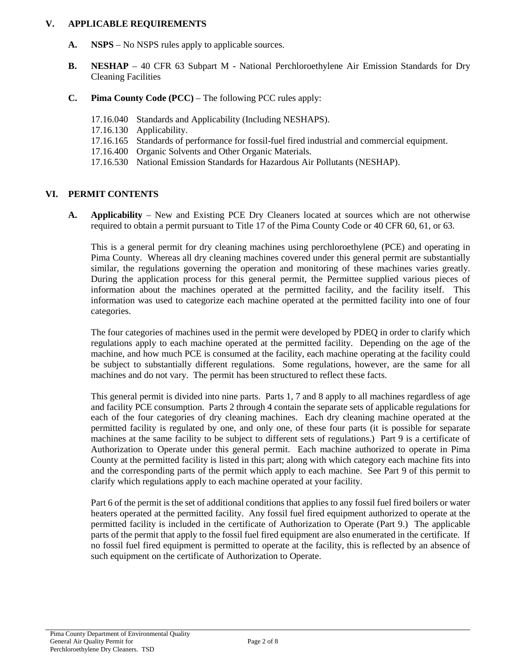#### **V. APPLICABLE REQUIREMENTS**

- **A. NSPS** No NSPS rules apply to applicable sources.
- **B. NESHAP** 40 CFR 63 Subpart M National Perchloroethylene Air Emission Standards for Dry Cleaning Facilities
- **C. Pima County Code (PCC)**  The following PCC rules apply:
	- 17.16.040 Standards and Applicability (Including NESHAPS).
	- 17.16.130 Applicability.
	- 17.16.165 Standards of performance for fossil-fuel fired industrial and commercial equipment.
	- 17.16.400 Organic Solvents and Other Organic Materials.
	- 17.16.530 National Emission Standards for Hazardous Air Pollutants (NESHAP).

### **VI. PERMIT CONTENTS**

**A. Applicability** – New and Existing PCE Dry Cleaners located at sources which are not otherwise required to obtain a permit pursuant to Title 17 of the Pima County Code or 40 CFR 60, 61, or 63.

This is a general permit for dry cleaning machines using perchloroethylene (PCE) and operating in Pima County. Whereas all dry cleaning machines covered under this general permit are substantially similar, the regulations governing the operation and monitoring of these machines varies greatly. During the application process for this general permit, the Permittee supplied various pieces of information about the machines operated at the permitted facility, and the facility itself. This information was used to categorize each machine operated at the permitted facility into one of four categories.

The four categories of machines used in the permit were developed by PDEQ in order to clarify which regulations apply to each machine operated at the permitted facility. Depending on the age of the machine, and how much PCE is consumed at the facility, each machine operating at the facility could be subject to substantially different regulations. Some regulations, however, are the same for all machines and do not vary. The permit has been structured to reflect these facts.

This general permit is divided into nine parts. Parts 1, 7 and 8 apply to all machines regardless of age and facility PCE consumption. Parts 2 through 4 contain the separate sets of applicable regulations for each of the four categories of dry cleaning machines. Each dry cleaning machine operated at the permitted facility is regulated by one, and only one, of these four parts (it is possible for separate machines at the same facility to be subject to different sets of regulations.) Part 9 is a certificate of Authorization to Operate under this general permit. Each machine authorized to operate in Pima County at the permitted facility is listed in this part; along with which category each machine fits into and the corresponding parts of the permit which apply to each machine. See Part 9 of this permit to clarify which regulations apply to each machine operated at your facility.

Part 6 of the permit is the set of additional conditions that applies to any fossil fuel fired boilers or water heaters operated at the permitted facility. Any fossil fuel fired equipment authorized to operate at the permitted facility is included in the certificate of Authorization to Operate (Part 9.) The applicable parts of the permit that apply to the fossil fuel fired equipment are also enumerated in the certificate. If no fossil fuel fired equipment is permitted to operate at the facility, this is reflected by an absence of such equipment on the certificate of Authorization to Operate.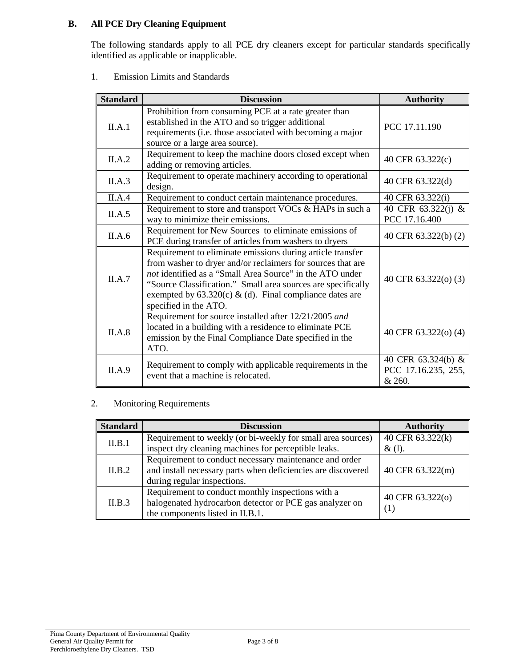# **B. All PCE Dry Cleaning Equipment**

The following standards apply to all PCE dry cleaners except for particular standards specifically identified as applicable or inapplicable.

1. Emission Limits and Standards

| <b>Standard</b> | <b>Discussion</b>                                                                                                                                                                                                                                                                                                                           | <b>Authority</b>                                    |
|-----------------|---------------------------------------------------------------------------------------------------------------------------------------------------------------------------------------------------------------------------------------------------------------------------------------------------------------------------------------------|-----------------------------------------------------|
| II.A.1          | Prohibition from consuming PCE at a rate greater than<br>established in the ATO and so trigger additional<br>requirements (i.e. those associated with becoming a major<br>source or a large area source).                                                                                                                                   | PCC 17.11.190                                       |
| II.A.2          | Requirement to keep the machine doors closed except when<br>adding or removing articles.                                                                                                                                                                                                                                                    | 40 CFR 63.322(c)                                    |
| II.A.3          | Requirement to operate machinery according to operational<br>design.                                                                                                                                                                                                                                                                        | 40 CFR 63.322(d)                                    |
| II.A.4          | Requirement to conduct certain maintenance procedures.                                                                                                                                                                                                                                                                                      | 40 CFR 63.322(i)                                    |
| II.A.5          | Requirement to store and transport VOCs & HAPs in such a<br>way to minimize their emissions.                                                                                                                                                                                                                                                | 40 CFR 63.322(j) &<br>PCC 17.16.400                 |
| II.A.6          | Requirement for New Sources to eliminate emissions of<br>PCE during transfer of articles from washers to dryers                                                                                                                                                                                                                             | 40 CFR 63.322(b) (2)                                |
| II.A.7          | Requirement to eliminate emissions during article transfer<br>from washer to dryer and/or reclaimers for sources that are<br>not identified as a "Small Area Source" in the ATO under<br>"Source Classification." Small area sources are specifically<br>exempted by $63.320(c)$ & (d). Final compliance dates are<br>specified in the ATO. | 40 CFR 63.322(o) (3)                                |
| II.A.8          | Requirement for source installed after 12/21/2005 and<br>located in a building with a residence to eliminate PCE<br>emission by the Final Compliance Date specified in the<br>ATO.                                                                                                                                                          | 40 CFR 63.322(o) (4)                                |
| II.A.9          | Requirement to comply with applicable requirements in the<br>event that a machine is relocated.                                                                                                                                                                                                                                             | 40 CFR 63.324(b) &<br>PCC 17.16.235, 255,<br>& 260. |

# 2. Monitoring Requirements

| <b>Standard</b> | <b>Discussion</b>                                            | <b>Authority</b> |
|-----------------|--------------------------------------------------------------|------------------|
| II.B.1          | Requirement to weekly (or bi-weekly for small area sources)  | 40 CFR 63.322(k) |
|                 | inspect dry cleaning machines for perceptible leaks.         | $\&$ (1).        |
|                 | Requirement to conduct necessary maintenance and order       |                  |
| II.B.2          | and install necessary parts when deficiencies are discovered | 40 CFR 63.322(m) |
|                 | during regular inspections.                                  |                  |
|                 | Requirement to conduct monthly inspections with a            | 40 CFR 63.322(o) |
| II.B.3          | halogenated hydrocarbon detector or PCE gas analyzer on      |                  |
|                 | the components listed in II.B.1.                             | (1)              |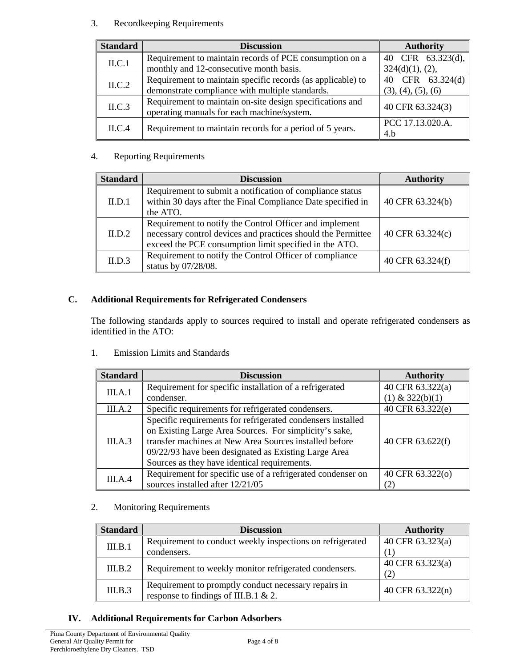# 3. Recordkeeping Requirements

| <b>Standard</b> | <b>Discussion</b>                                                                                       | <b>Authority</b>   |
|-----------------|---------------------------------------------------------------------------------------------------------|--------------------|
| ILC.1           | Requirement to maintain records of PCE consumption on a                                                 | 40 CFR 63.323(d),  |
|                 | monthly and 12-consecutive month basis.                                                                 | 324(d)(1), (2),    |
| ILC.2           | Requirement to maintain specific records (as applicable) to                                             | 40 CFR 63.324(d)   |
|                 | demonstrate compliance with multiple standards.                                                         | (3), (4), (5), (6) |
| ILC.3           | Requirement to maintain on-site design specifications and<br>operating manuals for each machine/system. | 40 CFR 63.324(3)   |
| ILC.4           | Requirement to maintain records for a period of 5 years.                                                | PCC 17.13.020.A.   |
|                 |                                                                                                         | 4.b                |

# 4. Reporting Requirements

| <b>Standard</b> | <b>Discussion</b>                                                                                                                                                                 | <b>Authority</b> |
|-----------------|-----------------------------------------------------------------------------------------------------------------------------------------------------------------------------------|------------------|
| II.D.1          | Requirement to submit a notification of compliance status<br>within 30 days after the Final Compliance Date specified in<br>the ATO.                                              | 40 CFR 63.324(b) |
| ILD.2           | Requirement to notify the Control Officer and implement<br>necessary control devices and practices should the Permittee<br>exceed the PCE consumption limit specified in the ATO. | 40 CFR 63.324(c) |
| ILD.3           | Requirement to notify the Control Officer of compliance<br>status by 07/28/08.                                                                                                    | 40 CFR 63.324(f) |

# **C. Additional Requirements for Refrigerated Condensers**

The following standards apply to sources required to install and operate refrigerated condensers as identified in the ATO:

1. Emission Limits and Standards

| <b>Standard</b> | <b>Discussion</b>                                                                                                                                                                                                                                                                       | <b>Authority</b>        |
|-----------------|-----------------------------------------------------------------------------------------------------------------------------------------------------------------------------------------------------------------------------------------------------------------------------------------|-------------------------|
| III.A.1         | Requirement for specific installation of a refrigerated                                                                                                                                                                                                                                 | 40 CFR 63.322(a)        |
|                 | condenser.                                                                                                                                                                                                                                                                              | $(1)$ & 322(b)(1)       |
| III.A.2         | Specific requirements for refrigerated condensers.                                                                                                                                                                                                                                      | 40 CFR 63.322(e)        |
| III.A.3         | Specific requirements for refrigerated condensers installed<br>on Existing Large Area Sources. For simplicity's sake,<br>transfer machines at New Area Sources installed before<br>09/22/93 have been designated as Existing Large Area<br>Sources as they have identical requirements. | 40 CFR 63.622(f)        |
| III.A.4         | Requirement for specific use of a refrigerated condenser on<br>sources installed after 12/21/05                                                                                                                                                                                         | 40 CFR 63.322(o)<br>(2) |

# 2. Monitoring Requirements

| <b>Standard</b> | <b>Discussion</b>                                         | <b>Authority</b> |
|-----------------|-----------------------------------------------------------|------------------|
| III.B.1         | Requirement to conduct weekly inspections on refrigerated | 40 CFR 63.323(a) |
|                 | condensers.                                               |                  |
| III.B.2         | Requirement to weekly monitor refrigerated condensers.    | 40 CFR 63.323(a) |
|                 |                                                           | (2)              |
| III.B.3         | Requirement to promptly conduct necessary repairs in      | 40 CFR 63.322(n) |
|                 | response to findings of III.B.1 & 2.                      |                  |

# **IV. Additional Requirements for Carbon Adsorbers**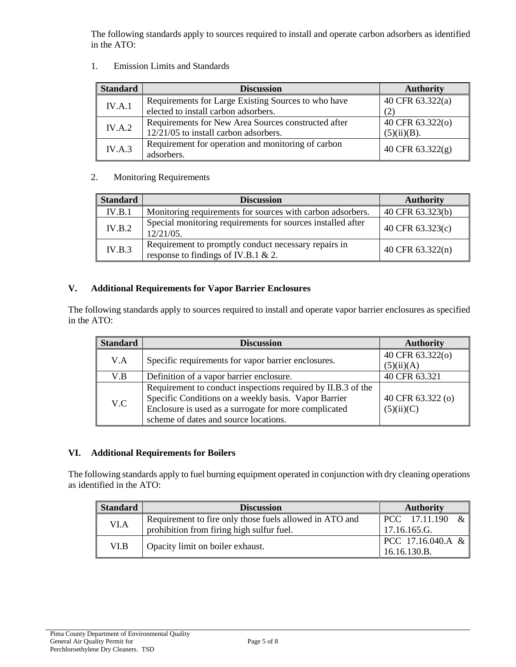The following standards apply to sources required to install and operate carbon adsorbers as identified in the ATO:

1. Emission Limits and Standards

| <b>Standard</b> | <b>Discussion</b>                                   | <b>Authority</b>   |
|-----------------|-----------------------------------------------------|--------------------|
| IV.A.1          | Requirements for Large Existing Sources to who have | 40 CFR 63.322(a)   |
|                 | elected to install carbon adsorbers.                | (2)                |
| IV.A.2          | Requirements for New Area Sources constructed after | 40 CFR 63.322(o)   |
|                 | 12/21/05 to install carbon adsorbers.               | (5)(ii)(B).        |
| IV.A.3          | Requirement for operation and monitoring of carbon  | 40 CFR $63.322(g)$ |
|                 | adsorbers.                                          |                    |

# 2. Monitoring Requirements

| <b>Standard</b> | <b>Discussion</b>                                                                           | <b>Authority</b> |
|-----------------|---------------------------------------------------------------------------------------------|------------------|
| IV.B.1          | Monitoring requirements for sources with carbon adsorbers.                                  | 40 CFR 63.323(b) |
| IV.B.2          | Special monitoring requirements for sources installed after<br>$12/21/05$ .                 | 40 CFR 63.323(c) |
| IV.B.3          | Requirement to promptly conduct necessary repairs in<br>response to findings of IV.B.1 & 2. | 40 CFR 63.322(n) |

# **V. Additional Requirements for Vapor Barrier Enclosures**

The following standards apply to sources required to install and operate vapor barrier enclosures as specified in the ATO:

| <b>Standard</b> | <b>Discussion</b>                                            | <b>Authority</b>  |
|-----------------|--------------------------------------------------------------|-------------------|
| V.A             | Specific requirements for vapor barrier enclosures.          | 40 CFR 63.322(o)  |
|                 |                                                              | (5)(ii)(A)        |
| V.B             | Definition of a vapor barrier enclosure.                     | 40 CFR 63.321     |
|                 | Requirement to conduct inspections required by II.B.3 of the |                   |
| V.C             | Specific Conditions on a weekly basis. Vapor Barrier         | 40 CFR 63.322 (o) |
|                 | Enclosure is used as a surrogate for more complicated        | (5)(ii)(C)        |
|                 | scheme of dates and source locations.                        |                   |

### **VI. Additional Requirements for Boilers**

The following standards apply to fuel burning equipment operated in conjunction with dry cleaning operations as identified in the ATO:

| <b>Standard</b> | <b>Discussion</b>                                       | <b>Authority</b>  |
|-----------------|---------------------------------------------------------|-------------------|
| VI.A            | Requirement to fire only those fuels allowed in ATO and | PCC 17.11.190     |
|                 | prohibition from firing high sulfur fuel.               | 17.16.165.G.      |
| VI.B            | Opacity limit on boiler exhaust.                        | PCC 17.16.040.A & |
|                 |                                                         | 16.16.130.B.      |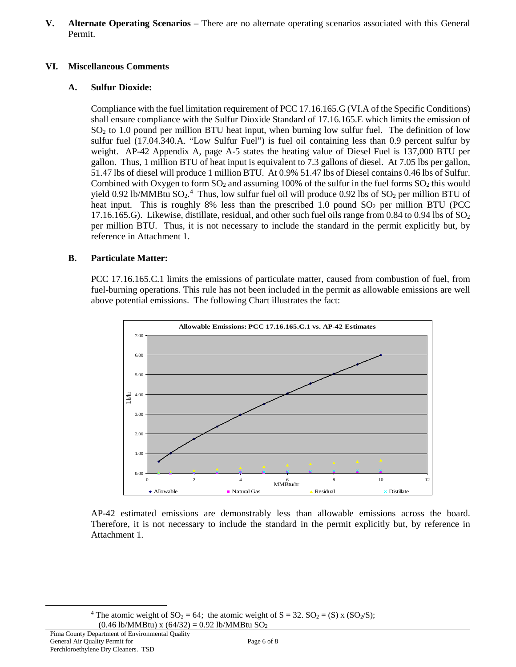**V. Alternate Operating Scenarios** – There are no alternate operating scenarios associated with this General Permit.

### **VI. Miscellaneous Comments**

# **A. Sulfur Dioxide:**

Compliance with the fuel limitation requirement of PCC 17.16.165.G (VI.A of the Specific Conditions) shall ensure compliance with the Sulfur Dioxide Standard of 17.16.165.E which limits the emission of  $SO<sub>2</sub>$  to 1.0 pound per million BTU heat input, when burning low sulfur fuel. The definition of low sulfur fuel (17.04.340.A. "Low Sulfur Fuel") is fuel oil containing less than 0.9 percent sulfur by weight. AP-42 Appendix A, page A-5 states the heating value of Diesel Fuel is 137,000 BTU per gallon. Thus, 1 million BTU of heat input is equivalent to 7.3 gallons of diesel. At 7.05 lbs per gallon, 51.47 lbs of diesel will produce 1 million BTU. At 0.9% 51.47 lbs of Diesel contains 0.46 lbs of Sulfur. Combined with Oxygen to form  $SO_2$  and assuming 100% of the sulfur in the fuel forms  $SO_2$  this would yield 0.92 lb/MMBtu  $SO_2$ .<sup>[4](#page-5-0)</sup> Thus, low sulfur fuel oil will produce 0.92 lbs of  $SO_2$  per million BTU of heat input. This is roughly 8% less than the prescribed 1.0 pound  $SO<sub>2</sub>$  per million BTU (PCC) 17.16.165.G). Likewise, distillate, residual, and other such fuel oils range from 0.84 to 0.94 lbs of  $SO_2$ per million BTU. Thus, it is not necessary to include the standard in the permit explicitly but, by reference in Attachment 1.

# **B. Particulate Matter:**

PCC 17.16.165.C.1 limits the emissions of particulate matter, caused from combustion of fuel, from fuel-burning operations. This rule has not been included in the permit as allowable emissions are well above potential emissions. The following Chart illustrates the fact:



AP-42 estimated emissions are demonstrably less than allowable emissions across the board. Therefore, it is not necessary to include the standard in the permit explicitly but, by reference in Attachment 1.

<sup>&</sup>lt;sup>4</sup> The atomic weight of  $SO_2 = 64$ ; the atomic weight of  $S = 32$ .  $SO_2 = (S) \times (SO_2/S)$ ;  $(0.46 \text{ lb/MM} \text{Btu}) \times (64/32) = 0.92 \text{ lb/MM} \text{Btu}$  SO<sub>2</sub>

<span id="page-5-0"></span>Pima County Department of Environmental Quality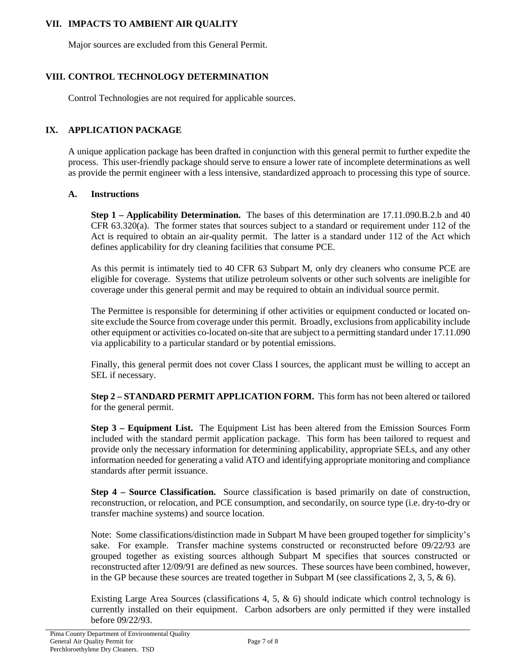## **VII. IMPACTS TO AMBIENT AIR QUALITY**

Major sources are excluded from this General Permit.

# **VIII. CONTROL TECHNOLOGY DETERMINATION**

Control Technologies are not required for applicable sources.

### **IX. APPLICATION PACKAGE**

A unique application package has been drafted in conjunction with this general permit to further expedite the process. This user-friendly package should serve to ensure a lower rate of incomplete determinations as well as provide the permit engineer with a less intensive, standardized approach to processing this type of source.

### **A. Instructions**

**Step 1 – Applicability Determination.** The bases of this determination are 17.11.090.B.2.b and 40 CFR 63.320(a). The former states that sources subject to a standard or requirement under 112 of the Act is required to obtain an air-quality permit. The latter is a standard under 112 of the Act which defines applicability for dry cleaning facilities that consume PCE.

As this permit is intimately tied to 40 CFR 63 Subpart M, only dry cleaners who consume PCE are eligible for coverage. Systems that utilize petroleum solvents or other such solvents are ineligible for coverage under this general permit and may be required to obtain an individual source permit.

The Permittee is responsible for determining if other activities or equipment conducted or located onsite exclude the Source from coverage under this permit. Broadly, exclusions from applicability include other equipment or activities co-located on-site that are subject to a permitting standard under 17.11.090 via applicability to a particular standard or by potential emissions.

Finally, this general permit does not cover Class I sources, the applicant must be willing to accept an SEL if necessary.

**Step 2 – STANDARD PERMIT APPLICATION FORM.** This form has not been altered or tailored for the general permit.

**Step 3 – Equipment List.** The Equipment List has been altered from the Emission Sources Form included with the standard permit application package. This form has been tailored to request and provide only the necessary information for determining applicability, appropriate SELs, and any other information needed for generating a valid ATO and identifying appropriate monitoring and compliance standards after permit issuance.

**Step 4 – Source Classification.** Source classification is based primarily on date of construction, reconstruction, or relocation, and PCE consumption, and secondarily, on source type (i.e. dry-to-dry or transfer machine systems) and source location.

Note: Some classifications/distinction made in Subpart M have been grouped together for simplicity's sake. For example. Transfer machine systems constructed or reconstructed before 09/22/93 are grouped together as existing sources although Subpart M specifies that sources constructed or reconstructed after 12/09/91 are defined as new sources. These sources have been combined, however, in the GP because these sources are treated together in Subpart M (see classifications 2, 3, 5,  $\&$  6).

Existing Large Area Sources (classifications 4, 5, & 6) should indicate which control technology is currently installed on their equipment. Carbon adsorbers are only permitted if they were installed before 09/22/93.